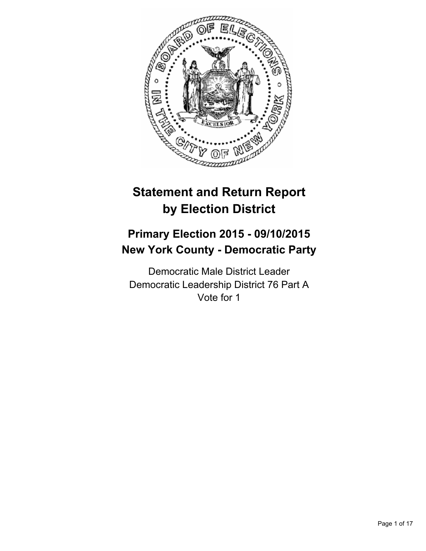

# **Statement and Return Report by Election District**

## **Primary Election 2015 - 09/10/2015 New York County - Democratic Party**

Democratic Male District Leader Democratic Leadership District 76 Part A Vote for 1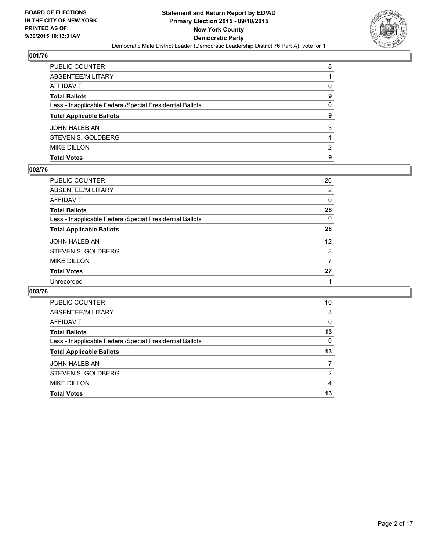

| PUBLIC COUNTER                                           | 8 |
|----------------------------------------------------------|---|
| ABSENTEE/MILITARY                                        |   |
| AFFIDAVIT                                                | 0 |
| Total Ballots                                            | 9 |
| Less - Inapplicable Federal/Special Presidential Ballots | 0 |
| <b>Total Applicable Ballots</b>                          | 9 |
| JOHN HALEBIAN                                            | 3 |
| STEVEN S. GOLDBERG                                       | 4 |
| <b>MIKE DILLON</b>                                       | 2 |
| Total Votes                                              | 9 |
|                                                          |   |

#### **002/76**

| PUBLIC COUNTER                                           | 26                |
|----------------------------------------------------------|-------------------|
| ABSENTEE/MILITARY                                        | 2                 |
| AFFIDAVIT                                                | 0                 |
| Total Ballots                                            | 28                |
| Less - Inapplicable Federal/Special Presidential Ballots | 0                 |
| <b>Total Applicable Ballots</b>                          | 28                |
| JOHN HALEBIAN                                            | $12 \overline{ }$ |
| STEVEN S. GOLDBERG                                       | 8                 |
| MIKE DILLON                                              | 7                 |
| <b>Total Votes</b>                                       | 27                |
| Unrecorded                                               |                   |
|                                                          |                   |

| PUBLIC COUNTER                                           | 10       |
|----------------------------------------------------------|----------|
| ABSENTEE/MILITARY                                        | 3        |
| <b>AFFIDAVIT</b>                                         | $\Omega$ |
| <b>Total Ballots</b>                                     | 13       |
| Less - Inapplicable Federal/Special Presidential Ballots | 0        |
| <b>Total Applicable Ballots</b>                          | 13       |
| <b>JOHN HALEBIAN</b>                                     |          |
| STEVEN S. GOLDBERG                                       | 2        |
| <b>MIKE DILLON</b>                                       | 4        |
| <b>Total Votes</b>                                       | 13       |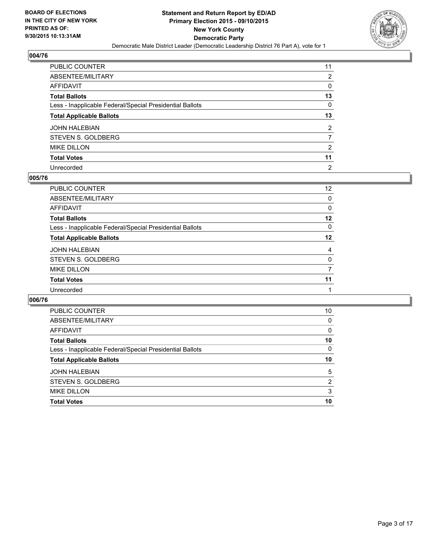

| PUBLIC COUNTER                                           | 11             |
|----------------------------------------------------------|----------------|
| ABSENTEE/MILITARY                                        | 2              |
| AFFIDAVIT                                                | 0              |
| Total Ballots                                            | 13             |
| Less - Inapplicable Federal/Special Presidential Ballots | 0              |
| <b>Total Applicable Ballots</b>                          | 13             |
| JOHN HALEBIAN                                            | $\overline{2}$ |
| STEVEN S. GOLDBERG                                       | 7              |
| <b>MIKE DILLON</b>                                       | 2              |
| <b>Total Votes</b>                                       | 11             |
| Unrecorded                                               | $\overline{2}$ |

#### **005/76**

| PUBLIC COUNTER                                           | 12 <sup>°</sup> |
|----------------------------------------------------------|-----------------|
| ABSENTEE/MILITARY                                        | $\Omega$        |
| <b>AFFIDAVIT</b>                                         | 0               |
| <b>Total Ballots</b>                                     | 12              |
| Less - Inapplicable Federal/Special Presidential Ballots | $\Omega$        |
| <b>Total Applicable Ballots</b>                          | $12 \,$         |
| <b>JOHN HALEBIAN</b>                                     | 4               |
| STEVEN S. GOLDBERG                                       | 0               |
| <b>MIKE DILLON</b>                                       | 7               |
| <b>Total Votes</b>                                       | 11              |
| Unrecorded                                               |                 |
|                                                          |                 |

| <b>PUBLIC COUNTER</b>                                    | 10 |
|----------------------------------------------------------|----|
| ABSENTEE/MILITARY                                        | 0  |
| AFFIDAVIT                                                | 0  |
| <b>Total Ballots</b>                                     | 10 |
| Less - Inapplicable Federal/Special Presidential Ballots | 0  |
| <b>Total Applicable Ballots</b>                          | 10 |
| <b>JOHN HALEBIAN</b>                                     | 5  |
|                                                          |    |
| STEVEN S. GOLDBERG                                       | 2  |
| <b>MIKE DILLON</b>                                       | 3  |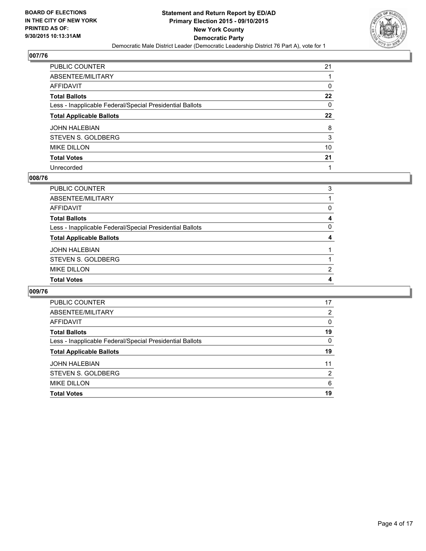

| PUBLIC COUNTER                                           | 21               |
|----------------------------------------------------------|------------------|
| ABSENTEE/MILITARY                                        |                  |
| AFFIDAVIT                                                | 0                |
| Total Ballots                                            | 22               |
| Less - Inapplicable Federal/Special Presidential Ballots | 0                |
| <b>Total Applicable Ballots</b>                          | $22\phantom{.0}$ |
| JOHN HALEBIAN                                            | 8                |
| STEVEN S. GOLDBERG                                       | 3                |
| MIKE DILLON                                              | 10               |
| <b>Total Votes</b>                                       | 21               |
| Unrecorded                                               |                  |

#### **008/76**

| <b>Total Votes</b>                                       | 4 |
|----------------------------------------------------------|---|
| <b>MIKE DILLON</b>                                       | 2 |
| STEVEN S. GOLDBERG                                       |   |
| <b>JOHN HALEBIAN</b>                                     |   |
| <b>Total Applicable Ballots</b>                          | 4 |
| Less - Inapplicable Federal/Special Presidential Ballots | 0 |
| <b>Total Ballots</b>                                     | 4 |
| AFFIDAVIT                                                | 0 |
| ABSENTEE/MILITARY                                        |   |
| <b>PUBLIC COUNTER</b>                                    | 3 |
|                                                          |   |

| <b>PUBLIC COUNTER</b>                                    | 17             |
|----------------------------------------------------------|----------------|
| ABSENTEE/MILITARY                                        | 2              |
| <b>AFFIDAVIT</b>                                         | 0              |
| <b>Total Ballots</b>                                     | 19             |
| Less - Inapplicable Federal/Special Presidential Ballots | 0              |
|                                                          |                |
| <b>Total Applicable Ballots</b>                          | 19             |
| <b>JOHN HALEBIAN</b>                                     | 11             |
| STEVEN S. GOLDBERG                                       | $\overline{2}$ |
| <b>MIKE DILLON</b>                                       | 6              |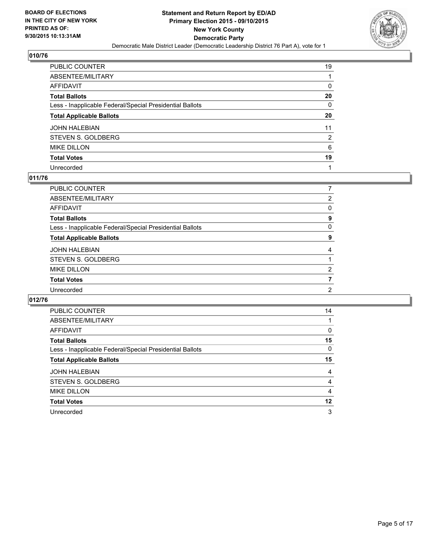

| PUBLIC COUNTER                                           | 19 |
|----------------------------------------------------------|----|
| ABSENTEE/MILITARY                                        |    |
| AFFIDAVIT                                                | 0  |
| Total Ballots                                            | 20 |
| Less - Inapplicable Federal/Special Presidential Ballots | 0  |
| <b>Total Applicable Ballots</b>                          | 20 |
| JOHN HALEBIAN                                            | 11 |
| STEVEN S. GOLDBERG                                       | 2  |
| <b>MIKE DILLON</b>                                       | 6  |
| <b>Total Votes</b>                                       | 19 |
| Unrecorded                                               |    |

#### **011/76**

| PUBLIC COUNTER                                           |   |
|----------------------------------------------------------|---|
| ABSENTEE/MILITARY                                        | 2 |
| <b>AFFIDAVIT</b>                                         | 0 |
| <b>Total Ballots</b>                                     | 9 |
| Less - Inapplicable Federal/Special Presidential Ballots | 0 |
| <b>Total Applicable Ballots</b>                          | 9 |
| <b>JOHN HALEBIAN</b>                                     | 4 |
| STEVEN S. GOLDBERG                                       |   |
| <b>MIKE DILLON</b>                                       | 2 |
| <b>Total Votes</b>                                       | 7 |
| Unrecorded                                               | 2 |
|                                                          |   |

| <b>PUBLIC COUNTER</b>                                    | 14 |
|----------------------------------------------------------|----|
| ABSENTEE/MILITARY                                        |    |
| <b>AFFIDAVIT</b>                                         | 0  |
| <b>Total Ballots</b>                                     | 15 |
| Less - Inapplicable Federal/Special Presidential Ballots | 0  |
| <b>Total Applicable Ballots</b>                          | 15 |
| <b>JOHN HALEBIAN</b>                                     | 4  |
| STEVEN S. GOLDBERG                                       | 4  |
| <b>MIKE DILLON</b>                                       | 4  |
| <b>Total Votes</b>                                       | 12 |
| Unrecorded                                               | 3  |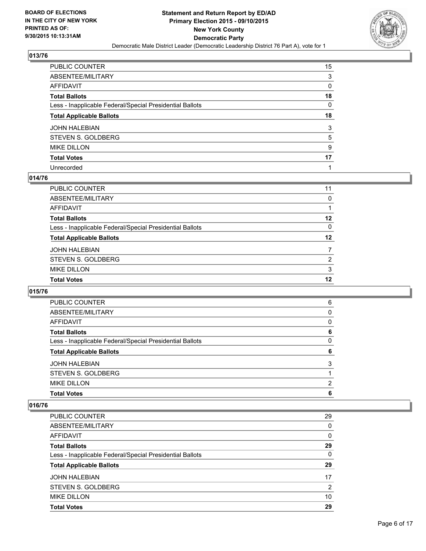

| PUBLIC COUNTER                                           | 15 |
|----------------------------------------------------------|----|
| ABSENTEE/MILITARY                                        | 3  |
| AFFIDAVIT                                                | 0  |
| Total Ballots                                            | 18 |
| Less - Inapplicable Federal/Special Presidential Ballots | 0  |
| <b>Total Applicable Ballots</b>                          | 18 |
| JOHN HALEBIAN                                            | 3  |
| STEVEN S. GOLDBERG                                       | 5  |
| MIKE DILLON                                              | 9  |
| Total Votes                                              | 17 |
| Unrecorded                                               |    |

#### **014/76**

| <b>PUBLIC COUNTER</b>                                    | 11       |
|----------------------------------------------------------|----------|
|                                                          |          |
| ABSENTEE/MILITARY                                        | 0        |
| <b>AFFIDAVIT</b>                                         |          |
| <b>Total Ballots</b>                                     | 12       |
| Less - Inapplicable Federal/Special Presidential Ballots | $\Omega$ |
| <b>Total Applicable Ballots</b>                          | $12 \,$  |
| <b>JOHN HALEBIAN</b>                                     | 7        |
| STEVEN S. GOLDBERG                                       | 2        |
| <b>MIKE DILLON</b>                                       | 3        |
| <b>Total Votes</b>                                       | 12       |
|                                                          |          |

## **015/76**

| <b>Total Votes</b>                                       | 6 |
|----------------------------------------------------------|---|
| <b>MIKE DILLON</b>                                       | 2 |
| STEVEN S. GOLDBERG                                       |   |
| <b>JOHN HALEBIAN</b>                                     | 3 |
| <b>Total Applicable Ballots</b>                          | 6 |
| Less - Inapplicable Federal/Special Presidential Ballots | 0 |
| <b>Total Ballots</b>                                     | 6 |
| <b>AFFIDAVIT</b>                                         | 0 |
| ABSENTEE/MILITARY                                        | 0 |
| PUBLIC COUNTER                                           | 6 |

| <b>Total Votes</b>                                       | 29 |
|----------------------------------------------------------|----|
| <b>MIKE DILLON</b>                                       | 10 |
| STEVEN S. GOLDBERG                                       | 2  |
| <b>JOHN HALEBIAN</b>                                     | 17 |
| <b>Total Applicable Ballots</b>                          | 29 |
| Less - Inapplicable Federal/Special Presidential Ballots | 0  |
| <b>Total Ballots</b>                                     | 29 |
| AFFIDAVIT                                                | 0  |
| ABSENTEE/MILITARY                                        | 0  |
| PUBLIC COUNTER                                           | 29 |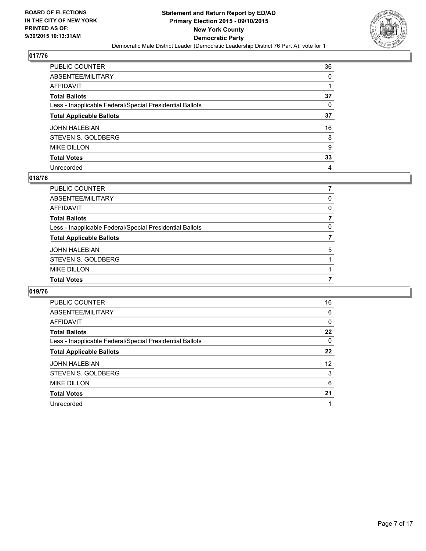

| PUBLIC COUNTER                                           | 36 |
|----------------------------------------------------------|----|
| ABSENTEE/MILITARY                                        | 0  |
| AFFIDAVIT                                                | 1  |
| Total Ballots                                            | 37 |
| Less - Inapplicable Federal/Special Presidential Ballots | 0  |
| <b>Total Applicable Ballots</b>                          | 37 |
| JOHN HALEBIAN                                            | 16 |
| STEVEN S. GOLDBERG                                       | 8  |
| <b>MIKE DILLON</b>                                       | 9  |
| <b>Total Votes</b>                                       | 33 |
| Unrecorded                                               | 4  |

#### **018/76**

| <b>Total Votes</b>                                       |          |
|----------------------------------------------------------|----------|
| <b>MIKE DILLON</b>                                       |          |
| STEVEN S. GOLDBERG                                       |          |
| <b>JOHN HALEBIAN</b>                                     | 5        |
| <b>Total Applicable Ballots</b>                          |          |
| Less - Inapplicable Federal/Special Presidential Ballots | $\Omega$ |
| <b>Total Ballots</b>                                     |          |
| <b>AFFIDAVIT</b>                                         | 0        |
| ABSENTEE/MILITARY                                        | 0        |
| PUBLIC COUNTER                                           |          |
|                                                          |          |

| PUBLIC COUNTER                                           | 16 |
|----------------------------------------------------------|----|
| ABSENTEE/MILITARY                                        | 6  |
| <b>AFFIDAVIT</b>                                         | 0  |
| <b>Total Ballots</b>                                     | 22 |
| Less - Inapplicable Federal/Special Presidential Ballots | 0  |
| <b>Total Applicable Ballots</b>                          | 22 |
| <b>JOHN HALEBIAN</b>                                     | 12 |
| STEVEN S. GOLDBERG                                       | 3  |
| <b>MIKE DILLON</b>                                       | 6  |
| <b>Total Votes</b>                                       | 21 |
| Unrecorded                                               |    |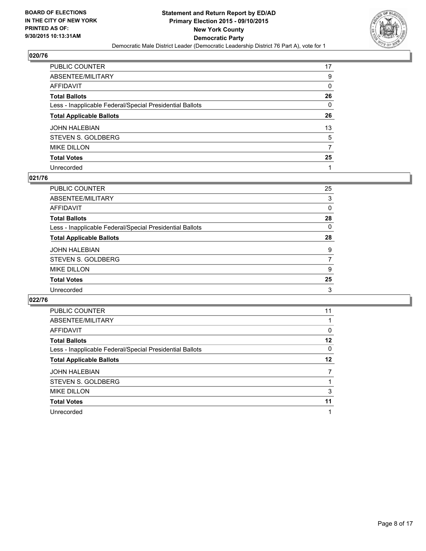

| PUBLIC COUNTER                                           | 17 |
|----------------------------------------------------------|----|
| ABSENTEE/MILITARY                                        | 9  |
| AFFIDAVIT                                                | 0  |
| Total Ballots                                            | 26 |
| Less - Inapplicable Federal/Special Presidential Ballots | 0  |
| <b>Total Applicable Ballots</b>                          | 26 |
| JOHN HALEBIAN                                            | 13 |
| STEVEN S. GOLDBERG                                       | 5  |
| <b>MIKE DILLON</b>                                       | 7  |
| <b>Total Votes</b>                                       | 25 |
| Unrecorded                                               |    |

#### **021/76**

| PUBLIC COUNTER                                           | 25       |
|----------------------------------------------------------|----------|
| ABSENTEE/MILITARY                                        | 3        |
| <b>AFFIDAVIT</b>                                         | 0        |
| <b>Total Ballots</b>                                     | 28       |
| Less - Inapplicable Federal/Special Presidential Ballots | $\Omega$ |
| <b>Total Applicable Ballots</b>                          | 28       |
| <b>JOHN HALEBIAN</b>                                     | 9        |
| STEVEN S. GOLDBERG                                       | 7        |
| <b>MIKE DILLON</b>                                       | 9        |
| <b>Total Votes</b>                                       | 25       |
| Unrecorded                                               | 3        |
|                                                          |          |

| <b>PUBLIC COUNTER</b>                                    | 11 |
|----------------------------------------------------------|----|
| ABSENTEE/MILITARY                                        |    |
| AFFIDAVIT                                                | 0  |
| <b>Total Ballots</b>                                     | 12 |
| Less - Inapplicable Federal/Special Presidential Ballots | 0  |
| <b>Total Applicable Ballots</b>                          | 12 |
| <b>JOHN HALEBIAN</b>                                     |    |
| STEVEN S. GOLDBERG                                       |    |
| <b>MIKE DILLON</b>                                       | 3  |
| <b>Total Votes</b>                                       | 11 |
| Unrecorded                                               |    |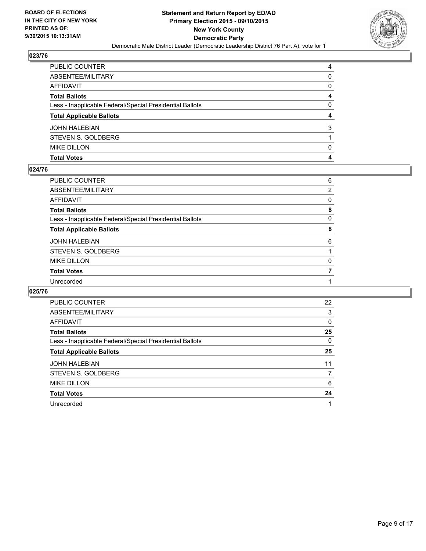

| PUBLIC COUNTER                                           | 4            |
|----------------------------------------------------------|--------------|
| ABSENTEE/MILITARY                                        | $\Omega$     |
| AFFIDAVIT                                                | $\mathbf{0}$ |
| Total Ballots                                            | 4            |
| Less - Inapplicable Federal/Special Presidential Ballots | 0            |
| <b>Total Applicable Ballots</b>                          | 4            |
| JOHN HALEBIAN                                            | 3            |
| STEVEN S. GOLDBERG                                       |              |
| <b>MIKE DILLON</b>                                       | $\Omega$     |
| Total Votes                                              | 4            |
|                                                          |              |

#### **024/76**

| PUBLIC COUNTER                                           | 6              |
|----------------------------------------------------------|----------------|
| ABSENTEE/MILITARY                                        | $\overline{2}$ |
| AFFIDAVIT                                                | 0              |
| Total Ballots                                            | 8              |
| Less - Inapplicable Federal/Special Presidential Ballots | 0              |
| <b>Total Applicable Ballots</b>                          | 8              |
| JOHN HALEBIAN                                            | 6              |
| STEVEN S. GOLDBERG                                       |                |
| <b>MIKE DILLON</b>                                       | 0              |
| <b>Total Votes</b>                                       | 7              |
| Unrecorded                                               |                |
|                                                          |                |

| PUBLIC COUNTER                                           | 22 |
|----------------------------------------------------------|----|
| ABSENTEE/MILITARY                                        | 3  |
| <b>AFFIDAVIT</b>                                         | 0  |
| <b>Total Ballots</b>                                     | 25 |
| Less - Inapplicable Federal/Special Presidential Ballots | 0  |
| <b>Total Applicable Ballots</b>                          | 25 |
| <b>JOHN HALEBIAN</b>                                     | 11 |
| STEVEN S. GOLDBERG                                       | 7  |
| <b>MIKE DILLON</b>                                       | 6  |
| <b>Total Votes</b>                                       | 24 |
| Unrecorded                                               |    |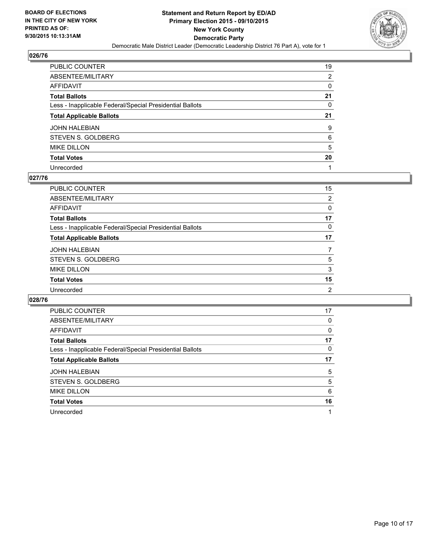

| PUBLIC COUNTER                                           | 19 |
|----------------------------------------------------------|----|
| ABSENTEE/MILITARY                                        | 2  |
| AFFIDAVIT                                                | 0  |
| Total Ballots                                            | 21 |
| Less - Inapplicable Federal/Special Presidential Ballots | 0  |
| <b>Total Applicable Ballots</b>                          | 21 |
| JOHN HALEBIAN                                            | 9  |
| STEVEN S. GOLDBERG                                       | 6  |
| MIKE DILLON                                              | 5  |
| <b>Total Votes</b>                                       | 20 |
| Unrecorded                                               |    |

#### **027/76**

| <b>PUBLIC COUNTER</b>                                    | 15 |
|----------------------------------------------------------|----|
| ABSENTEE/MILITARY                                        | 2  |
| <b>AFFIDAVIT</b>                                         | 0  |
| <b>Total Ballots</b>                                     | 17 |
| Less - Inapplicable Federal/Special Presidential Ballots | 0  |
| <b>Total Applicable Ballots</b>                          | 17 |
| <b>JOHN HALEBIAN</b>                                     | 7  |
| STEVEN S. GOLDBERG                                       | 5  |
| <b>MIKE DILLON</b>                                       | 3  |
| <b>Total Votes</b>                                       | 15 |
| Unrecorded                                               | 2  |
|                                                          |    |

| <b>PUBLIC COUNTER</b>                                    | 17 |
|----------------------------------------------------------|----|
| ABSENTEE/MILITARY                                        | 0  |
| AFFIDAVIT                                                | 0  |
| <b>Total Ballots</b>                                     | 17 |
| Less - Inapplicable Federal/Special Presidential Ballots | 0  |
| <b>Total Applicable Ballots</b>                          | 17 |
| <b>JOHN HALEBIAN</b>                                     | 5  |
| STEVEN S. GOLDBERG                                       | 5  |
| <b>MIKE DILLON</b>                                       | 6  |
| <b>Total Votes</b>                                       | 16 |
| Unrecorded                                               |    |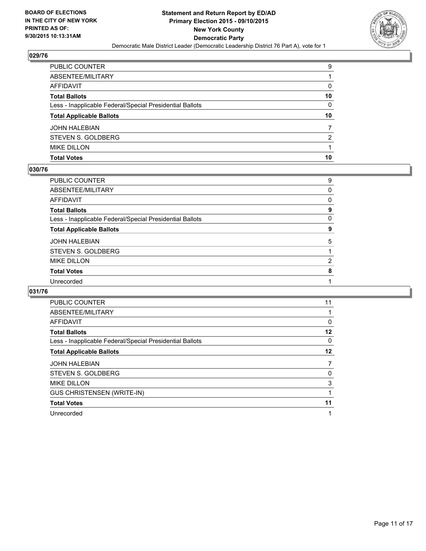

| PUBLIC COUNTER                                           | 9  |
|----------------------------------------------------------|----|
| ABSENTEE/MILITARY                                        |    |
| AFFIDAVIT                                                | 0  |
| Total Ballots                                            | 10 |
| Less - Inapplicable Federal/Special Presidential Ballots | 0  |
| <b>Total Applicable Ballots</b>                          | 10 |
| JOHN HALEBIAN                                            |    |
| STEVEN S. GOLDBERG                                       | 2  |
| <b>MIKE DILLON</b>                                       |    |
|                                                          |    |
| Total Votes                                              | 10 |

#### **030/76**

| PUBLIC COUNTER                                           | 9              |
|----------------------------------------------------------|----------------|
| ABSENTEE/MILITARY                                        | 0              |
| AFFIDAVIT                                                | 0              |
| Total Ballots                                            | 9              |
| Less - Inapplicable Federal/Special Presidential Ballots | 0              |
| <b>Total Applicable Ballots</b>                          | 9              |
| JOHN HALEBIAN                                            | 5              |
| STEVEN S. GOLDBERG                                       |                |
| MIKE DILLON                                              | $\overline{2}$ |
| <b>Total Votes</b>                                       | 8              |
| Unrecorded                                               |                |
|                                                          |                |

| <b>PUBLIC COUNTER</b>                                    | 11 |
|----------------------------------------------------------|----|
| ABSENTEE/MILITARY                                        |    |
| <b>AFFIDAVIT</b>                                         | 0  |
| <b>Total Ballots</b>                                     | 12 |
| Less - Inapplicable Federal/Special Presidential Ballots | 0  |
| <b>Total Applicable Ballots</b>                          | 12 |
| <b>JOHN HALEBIAN</b>                                     | 7  |
|                                                          |    |
| STEVEN S. GOLDBERG                                       | 0  |
| <b>MIKE DILLON</b>                                       | 3  |
| <b>GUS CHRISTENSEN (WRITE-IN)</b>                        |    |
| <b>Total Votes</b>                                       | 11 |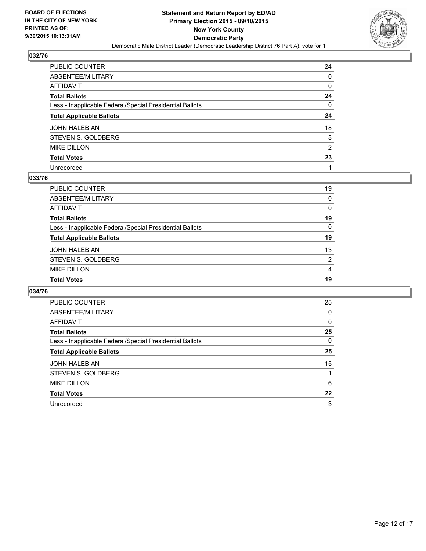

| PUBLIC COUNTER                                           | 24 |
|----------------------------------------------------------|----|
| ABSENTEE/MILITARY                                        | 0  |
| AFFIDAVIT                                                | 0  |
| Total Ballots                                            | 24 |
| Less - Inapplicable Federal/Special Presidential Ballots | 0  |
| <b>Total Applicable Ballots</b>                          | 24 |
| JOHN HALEBIAN                                            | 18 |
| STEVEN S. GOLDBERG                                       | 3  |
| <b>MIKE DILLON</b>                                       | 2  |
| <b>Total Votes</b>                                       | 23 |
| Unrecorded                                               |    |

#### **033/76**

| <b>PUBLIC COUNTER</b>                                    | 19       |
|----------------------------------------------------------|----------|
| ABSENTEE/MILITARY                                        | $\Omega$ |
| <b>AFFIDAVIT</b>                                         | $\Omega$ |
| <b>Total Ballots</b>                                     | 19       |
| Less - Inapplicable Federal/Special Presidential Ballots | $\Omega$ |
| <b>Total Applicable Ballots</b>                          | 19       |
| <b>JOHN HALEBIAN</b>                                     | 13       |
| STEVEN S. GOLDBERG                                       | 2        |
| <b>MIKE DILLON</b>                                       | 4        |
| <b>Total Votes</b>                                       | 19       |
|                                                          |          |

| <b>PUBLIC COUNTER</b>                                    | 25 |
|----------------------------------------------------------|----|
| ABSENTEE/MILITARY                                        | 0  |
| AFFIDAVIT                                                | 0  |
| <b>Total Ballots</b>                                     | 25 |
| Less - Inapplicable Federal/Special Presidential Ballots | 0  |
| <b>Total Applicable Ballots</b>                          | 25 |
| <b>JOHN HALEBIAN</b>                                     | 15 |
| STEVEN S. GOLDBERG                                       |    |
| <b>MIKE DILLON</b>                                       | 6  |
| <b>Total Votes</b>                                       | 22 |
| Unrecorded                                               | 3  |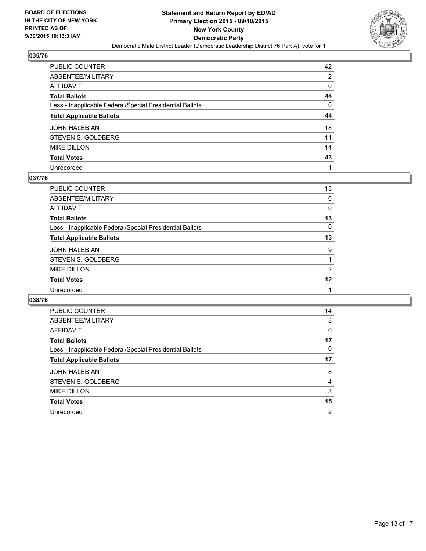

| PUBLIC COUNTER                                           | 42 |
|----------------------------------------------------------|----|
| ABSENTEE/MILITARY                                        | 2  |
| AFFIDAVIT                                                | 0  |
| Total Ballots                                            | 44 |
| Less - Inapplicable Federal/Special Presidential Ballots | 0  |
| <b>Total Applicable Ballots</b>                          | 44 |
| JOHN HALEBIAN                                            | 18 |
| STEVEN S. GOLDBERG                                       | 11 |
| <b>MIKE DILLON</b>                                       | 14 |
| <b>Total Votes</b>                                       | 43 |
| Unrecorded                                               |    |

#### **037/76**

| PUBLIC COUNTER                                           | 13 |
|----------------------------------------------------------|----|
| ABSENTEE/MILITARY                                        | 0  |
| <b>AFFIDAVIT</b>                                         | 0  |
| <b>Total Ballots</b>                                     | 13 |
| Less - Inapplicable Federal/Special Presidential Ballots | 0  |
| <b>Total Applicable Ballots</b>                          | 13 |
| <b>JOHN HALEBIAN</b>                                     | 9  |
| STEVEN S. GOLDBERG                                       |    |
| <b>MIKE DILLON</b>                                       | 2  |
| <b>Total Votes</b>                                       | 12 |
| Unrecorded                                               |    |
|                                                          |    |

| PUBLIC COUNTER                                           | 14 |
|----------------------------------------------------------|----|
| ABSENTEE/MILITARY                                        | 3  |
| <b>AFFIDAVIT</b>                                         | 0  |
| <b>Total Ballots</b>                                     | 17 |
| Less - Inapplicable Federal/Special Presidential Ballots | 0  |
| <b>Total Applicable Ballots</b>                          | 17 |
| <b>JOHN HALEBIAN</b>                                     | 8  |
| STEVEN S. GOLDBERG                                       | 4  |
| <b>MIKE DILLON</b>                                       | 3  |
| <b>Total Votes</b>                                       | 15 |
| Unrecorded                                               | 2  |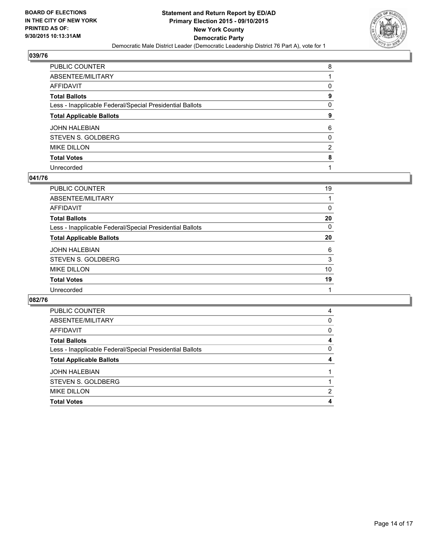

| PUBLIC COUNTER                                           | 8              |
|----------------------------------------------------------|----------------|
| ABSENTEE/MILITARY                                        |                |
| AFFIDAVIT                                                | 0              |
| Total Ballots                                            | 9              |
| Less - Inapplicable Federal/Special Presidential Ballots | 0              |
| <b>Total Applicable Ballots</b>                          | 9              |
| JOHN HALEBIAN                                            | 6              |
| STEVEN S. GOLDBERG                                       | $\mathbf{0}$   |
| MIKE DILLON                                              | $\overline{2}$ |
| <b>Total Votes</b>                                       | 8              |
| Unrecorded                                               |                |

#### **041/76**

| 19 |
|----|
|    |
| 0  |
| 20 |
| 0  |
| 20 |
| 6  |
| 3  |
| 10 |
| 19 |
|    |
|    |

| <b>PUBLIC COUNTER</b>                                    | 4 |
|----------------------------------------------------------|---|
| ABSENTEE/MILITARY                                        | 0 |
| AFFIDAVIT                                                | 0 |
| <b>Total Ballots</b>                                     | 4 |
| Less - Inapplicable Federal/Special Presidential Ballots | 0 |
| <b>Total Applicable Ballots</b>                          |   |
| <b>JOHN HALEBIAN</b>                                     |   |
| STEVEN S. GOLDBERG                                       |   |
| <b>MIKE DILLON</b>                                       | 2 |
| <b>Total Votes</b>                                       |   |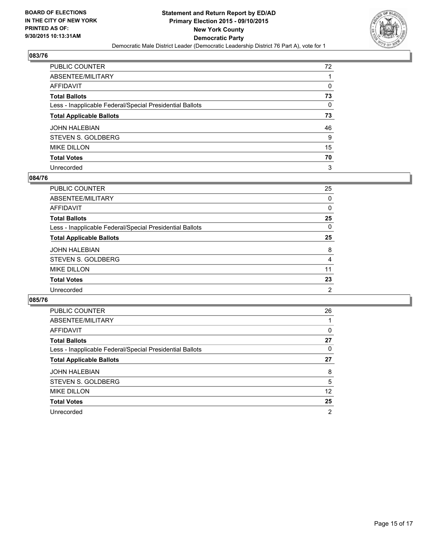

| PUBLIC COUNTER                                           | 72 |
|----------------------------------------------------------|----|
| ABSENTEE/MILITARY                                        |    |
| AFFIDAVIT                                                | 0  |
| Total Ballots                                            | 73 |
| Less - Inapplicable Federal/Special Presidential Ballots | 0  |
| <b>Total Applicable Ballots</b>                          | 73 |
| JOHN HALEBIAN                                            | 46 |
| STEVEN S. GOLDBERG                                       | 9  |
| <b>MIKE DILLON</b>                                       | 15 |
| <b>Total Votes</b>                                       | 70 |
| Unrecorded                                               | 3  |

#### **084/76**

| PUBLIC COUNTER                                           | 25             |
|----------------------------------------------------------|----------------|
| ABSENTEE/MILITARY                                        | $\Omega$       |
| <b>AFFIDAVIT</b>                                         | 0              |
| <b>Total Ballots</b>                                     | 25             |
| Less - Inapplicable Federal/Special Presidential Ballots | $\Omega$       |
| <b>Total Applicable Ballots</b>                          | 25             |
| <b>JOHN HALEBIAN</b>                                     | 8              |
| STEVEN S. GOLDBERG                                       | 4              |
| <b>MIKE DILLON</b>                                       | 11             |
| <b>Total Votes</b>                                       | 23             |
| Unrecorded                                               | $\overline{2}$ |
|                                                          |                |

| PUBLIC COUNTER                                           | 26             |
|----------------------------------------------------------|----------------|
| ABSENTEE/MILITARY                                        |                |
| <b>AFFIDAVIT</b>                                         | 0              |
| <b>Total Ballots</b>                                     | 27             |
| Less - Inapplicable Federal/Special Presidential Ballots | 0              |
| <b>Total Applicable Ballots</b>                          | 27             |
| <b>JOHN HALEBIAN</b>                                     | 8              |
| STEVEN S. GOLDBERG                                       | 5              |
| <b>MIKE DILLON</b>                                       | 12             |
| <b>Total Votes</b>                                       | 25             |
| Unrecorded                                               | $\overline{2}$ |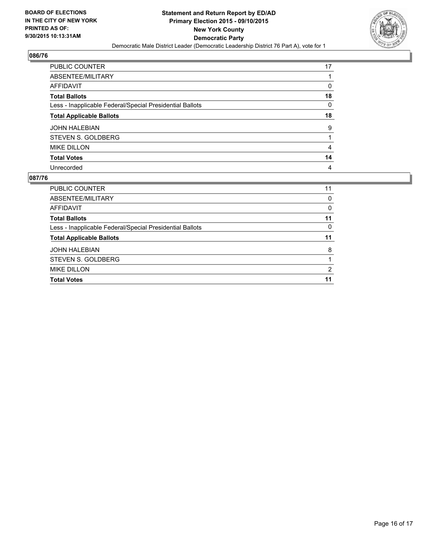

| PUBLIC COUNTER                                           | 17 |
|----------------------------------------------------------|----|
| ABSENTEE/MILITARY                                        |    |
| AFFIDAVIT                                                | 0  |
| <b>Total Ballots</b>                                     | 18 |
| Less - Inapplicable Federal/Special Presidential Ballots | 0  |
| <b>Total Applicable Ballots</b>                          | 18 |
| JOHN HALEBIAN                                            | 9  |
| STEVEN S. GOLDBERG                                       |    |
| <b>MIKE DILLON</b>                                       | 4  |
| <b>Total Votes</b>                                       | 14 |
| Unrecorded                                               | 4  |

| PUBLIC COUNTER                                           | 11       |
|----------------------------------------------------------|----------|
| ABSENTEE/MILITARY                                        | 0        |
| AFFIDAVIT                                                | 0        |
| <b>Total Ballots</b>                                     | 11       |
| Less - Inapplicable Federal/Special Presidential Ballots | $\Omega$ |
| <b>Total Applicable Ballots</b>                          | 11       |
| <b>JOHN HALEBIAN</b>                                     | 8        |
| STEVEN S. GOLDBERG                                       |          |
| <b>MIKE DILLON</b>                                       | 2        |
| <b>Total Votes</b>                                       | 11       |
|                                                          |          |